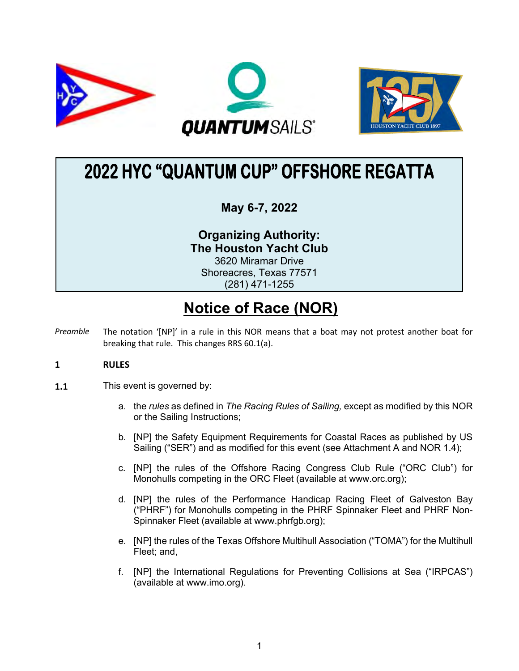



# **2022 HYC "QUANTUM CUP" OFFSHORE REGATTA**

## **May 6-7, 2022**

**Organizing Authority: The Houston Yacht Club** 3620 Miramar Drive Shoreacres, Texas 77571 (281) 471-1255

# **Notice of Race (NOR)**

*Preamble* The notation '[NP]' in a rule in this NOR means that a boat may not protest another boat for breaking that rule. This changes RRS 60.1(a).

### **1 RULES**

- **1.1** This event is governed by:
	- a. the *rules* as defined in *The Racing Rules of Sailing,* except as modified by this NOR or the Sailing Instructions;
	- b. [NP] the Safety Equipment Requirements for Coastal Races as published by US Sailing ("SER") and as modified for this event (see Attachment A and NOR 1.4);
	- c. [NP] the rules of the Offshore Racing Congress Club Rule ("ORC Club") for Monohulls competing in the ORC Fleet (available at www.orc.org);
	- d. [NP] the rules of the Performance Handicap Racing Fleet of Galveston Bay ("PHRF") for Monohulls competing in the PHRF Spinnaker Fleet and PHRF Non-Spinnaker Fleet (available at www.phrfgb.org);
	- e. [NP] the rules of the Texas Offshore Multihull Association ("TOMA") for the Multihull Fleet; and,
	- f. [NP] the International Regulations for Preventing Collisions at Sea ("IRPCAS") (available at www.imo.org).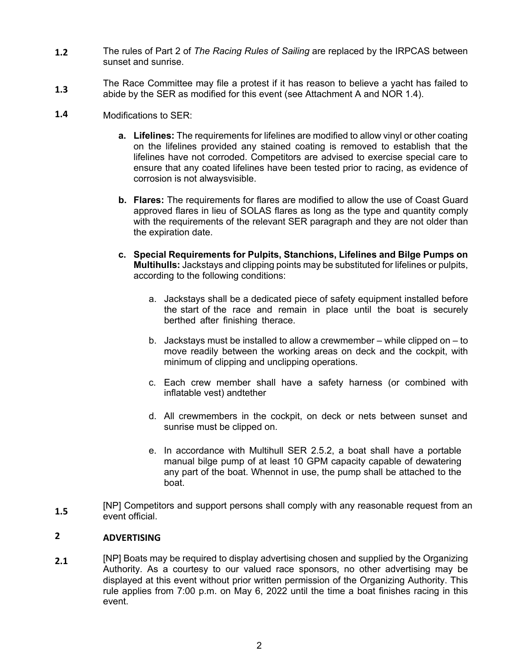- **1.2** The rules of Part 2 of *The Racing Rules of Sailing* are replaced by the IRPCAS between sunset and sunrise.
- **1.3** The Race Committee may file a protest if it has reason to believe a yacht has failed to abide by the SER as modified for this event (see Attachment A and NOR 1.4).
- **1.4** Modifications to SER:
	- **a. Lifelines:** The requirements for lifelines are modified to allow vinyl or other coating on the lifelines provided any stained coating is removed to establish that the lifelines have not corroded. Competitors are advised to exercise special care to ensure that any coated lifelines have been tested prior to racing, as evidence of corrosion is not alwaysvisible.
	- **b. Flares:** The requirements for flares are modified to allow the use of Coast Guard approved flares in lieu of SOLAS flares as long as the type and quantity comply with the requirements of the relevant SER paragraph and they are not older than the expiration date.
	- **c. Special Requirements for Pulpits, Stanchions, Lifelines and Bilge Pumps on Multihulls:** Jackstays and clipping points may be substituted for lifelines or pulpits, according to the following conditions:
		- a. Jackstays shall be a dedicated piece of safety equipment installed before the start of the race and remain in place until the boat is securely berthed after finishing therace.
		- b. Jackstays must be installed to allow a crewmember while clipped on to move readily between the working areas on deck and the cockpit, with minimum of clipping and unclipping operations.
		- c. Each crew member shall have a safety harness (or combined with inflatable vest) andtether
		- d. All crewmembers in the cockpit, on deck or nets between sunset and sunrise must be clipped on.
		- e. In accordance with Multihull SER 2.5.2, a boat shall have a portable manual bilge pump of at least 10 GPM capacity capable of dewatering any part of the boat. Whennot in use, the pump shall be attached to the boat.
- **1.5** [NP] Competitors and support persons shall comply with any reasonable request from an event official.

#### **2 ADVERTISING**

**2.1** [NP] Boats may be required to display advertising chosen and supplied by the Organizing Authority. As a courtesy to our valued race sponsors, no other advertising may be displayed at this event without prior written permission of the Organizing Authority. This rule applies from 7:00 p.m. on May 6, 2022 until the time a boat finishes racing in this event.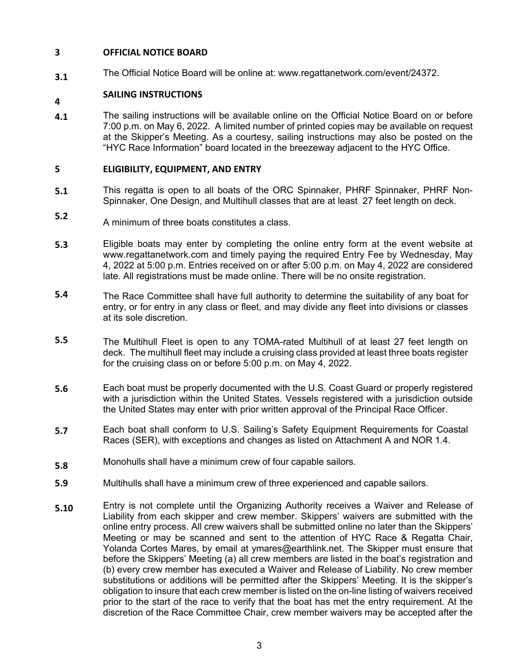#### **3 OFFICIAL NOTICE BOARD**

**3.1** The Official Notice Board will be online at: www.regattanetwork.com/event/24372.

### **4 SAILING INSTRUCTIONS**

**4.1** The sailing instructions will be available online on the Official Notice Board on or before 7:00 p.m. on May 6, 2022. A limited number of printed copies may be available on request at the Skipper's Meeting. As a courtesy, sailing instructions may also be posted on the "HYC Race Information" board located in the breezeway adjacent to the HYC Office.

### **5 ELIGIBILITY, EQUIPMENT, AND ENTRY**

- **5.1** This regatta is open to all boats of the ORC Spinnaker, PHRF Spinnaker, PHRF Non-Spinnaker, One Design, and Multihull classes that are at least 27 feet length on deck.
- **5.2** A minimum of three boats constitutes a class.
- **5.3** Eligible boats may enter by completing the online entry form at the event website at www.regattanetwork.com and timely paying the required Entry Fee by Wednesday, May 4, 2022 at 5:00 p.m. Entries received on or after 5:00 p.m. on May 4, 2022 are considered late. All registrations must be made online. There will be no onsite registration.
- **5.4** The Race Committee shall have full authority to determine the suitability of any boat for entry, or for entry in any class or fleet, and may divide any fleet into divisions or classes at its sole discretion.
- **5.5** The Multihull Fleet is open to any TOMA-rated Multihull of at least 27 feet length on deck. The multihull fleet may include a cruising class provided at least three boats register for the cruising class on or before 5:00 p.m. on May 4, 2022.
- **5.6** Each boat must be properly documented with the U.S. Coast Guard or properly registered with a jurisdiction within the United States. Vessels registered with a jurisdiction outside the United States may enter with prior written approval of the Principal Race Officer.
- **5.7** Each boat shall conform to U.S. Sailing's Safety Equipment Requirements for Coastal Races (SER), with exceptions and changes as listed on Attachment A and NOR 1.4.
- **5.8** Monohulls shall have a minimum crew of four capable sailors.
- **5.9** Multihulls shall have a minimum crew of three experienced and capable sailors.
- **5.10** Entry is not complete until the Organizing Authority receives a Waiver and Release of Liability from each skipper and crew member. Skippers' waivers are submitted with the online entry process. All crew waivers shall be submitted online no later than the Skippers' Meeting or may be scanned and sent to the attention of HYC Race & Regatta Chair, Yolanda Cortes Mares, by email at ymares@earthlink.net. The Skipper must ensure that before the Skippers' Meeting (a) all crew members are listed in the boat's registration and (b) every crew member has executed a Waiver and Release of Liability. No crew member substitutions or additions will be permitted after the Skippers' Meeting. It is the skipper's obligation to insure that each crew member is listed on the on-line listing of waivers received prior to the start of the race to verify that the boat has met the entry requirement. At the discretion of the Race Committee Chair, crew member waivers may be accepted after the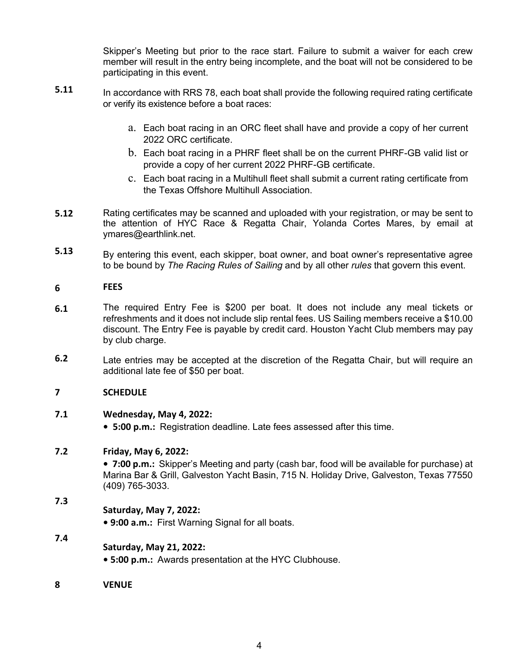Skipper's Meeting but prior to the race start. Failure to submit a waiver for each crew member will result in the entry being incomplete, and the boat will not be considered to be participating in this event.

- **5.11** In accordance with RRS 78, each boat shall provide the following required rating certificate or verify its existence before a boat races:
	- a. Each boat racing in an ORC fleet shall have and provide a copy of her current 2022 ORC certificate.
	- b. Each boat racing in a PHRF fleet shall be on the current PHRF-GB valid list or provide a copy of her current 2022 PHRF-GB certificate.
	- c. Each boat racing in a Multihull fleet shall submit a current rating certificate from the Texas Offshore Multihull Association.
- **5.12** Rating certificates may be scanned and uploaded with your registration, or may be sent to the attention of HYC Race & Regatta Chair, Yolanda Cortes Mares, by email at ymares@earthlink.net.
- **5.13** By entering this event, each skipper, boat owner, and boat owner's representative agree to be bound by *The Racing Rules of Sailing* and by all other *rules* that govern this event.

#### **6 FEES**

- **6.1** The required Entry Fee is \$200 per boat. It does not include any meal tickets or refreshments and it does not include slip rental fees. US Sailing members receive a \$10.00 discount. The Entry Fee is payable by credit card. Houston Yacht Club members may pay by club charge.
- **6.2** Late entries may be accepted at the discretion of the Regatta Chair, but will require an additional late fee of \$50 per boat.

### **7 SCHEDULE**

#### **7.1 Wednesday, May 4, 2022:**

**• 5:00 p.m.:** Registration deadline. Late fees assessed after this time.

#### **7.2 Friday, May 6, 2022:**

**• 7:00 p.m.:** Skipper's Meeting and party (cash bar, food will be available for purchase) at Marina Bar & Grill, Galveston Yacht Basin, 715 N. Holiday Drive, Galveston, Texas 77550 (409) 765-3033.

### **7.3 Saturday, May 7, 2022:**

**• 9:00 a.m.:** First Warning Signal for all boats.

### **Saturday, May 21, 2022:**

- **5:00 p.m.:** Awards presentation at the HYC Clubhouse.
- **8 VENUE**

**7.4**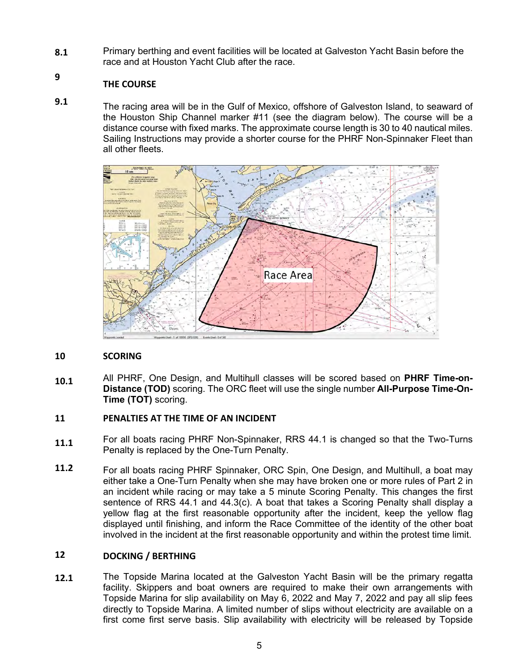**8.1** Primary berthing and event facilities will be located at Galveston Yacht Basin before the race and at Houston Yacht Club after the race.

### **THE COURSE**

**9**

**9.1** The racing area will be in the Gulf of Mexico, offshore of Galveston Island, to seaward of the Houston Ship Channel marker #11 (see the diagram below). The course will be a distance course with fixed marks. The approximate course length is 30 to 40 nautical miles. Sailing Instructions may provide a shorter course for the PHRF Non-Spinnaker Fleet than all other fleets.



#### **10 SCORING**

**10.1** All PHRF, One Design, and Multihull classes will be scored based on **PHRF Time-on-Distance (TOD)** scoring. The ORC fleet will use the single number **All-Purpose Time-On-Time (TOT)** scoring.

#### **11 PENALTIES AT THE TIME OF AN INCIDENT**

- **11.1** For all boats racing PHRF Non-Spinnaker, RRS 44.1 is changed so that the Two-Turns Penalty is replaced by the One-Turn Penalty.
- **11.2** For all boats racing PHRF Spinnaker, ORC Spin, One Design, and Multihull, a boat may either take a One-Turn Penalty when she may have broken one or more rules of Part 2 in an incident while racing or may take a 5 minute Scoring Penalty. This changes the first sentence of RRS 44.1 and 44.3(c). A boat that takes a Scoring Penalty shall display a yellow flag at the first reasonable opportunity after the incident, keep the yellow flag displayed until finishing, and inform the Race Committee of the identity of the other boat involved in the incident at the first reasonable opportunity and within the protest time limit.

#### **12 DOCKING / BERTHING**

**12.1** The Topside Marina located at the Galveston Yacht Basin will be the primary regatta facility. Skippers and boat owners are required to make their own arrangements with Topside Marina for slip availability on May 6, 2022 and May 7, 2022 and pay all slip fees directly to Topside Marina. A limited number of slips without electricity are available on a first come first serve basis. Slip availability with electricity will be released by Topside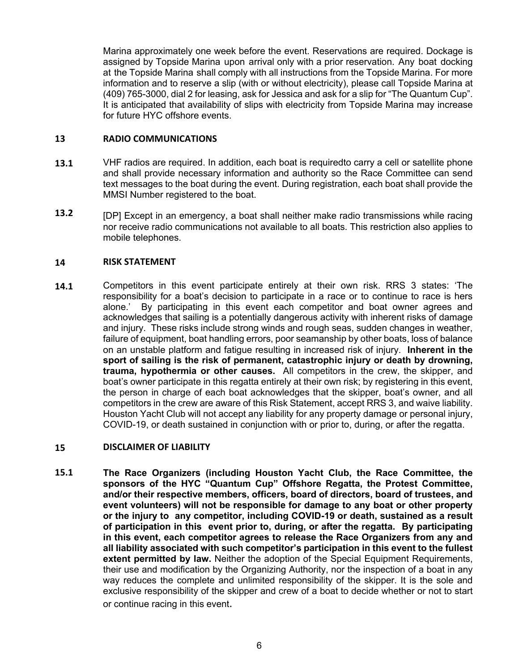Marina approximately one week before the event. Reservations are required. Dockage is assigned by Topside Marina upon arrival only with a prior reservation. Any boat docking at the Topside Marina shall comply with all instructions from the Topside Marina. For more information and to reserve a slip (with or without electricity), please call Topside Marina at (409) 765-3000, dial 2 for leasing, ask for Jessica and ask for a slip for "The Quantum Cup". It is anticipated that availability of slips with electricity from Topside Marina may increase for future HYC offshore events.

#### **13 RADIO COMMUNICATIONS**

- **13.1** VHF radios are required. In addition, each boat is requiredto carry a cell or satellite phone and shall provide necessary information and authority so the Race Committee can send text messages to the boat during the event. During registration, each boat shall provide the MMSI Number registered to the boat.
- **13.2** [DP] Except in an emergency, a boat shall neither make radio transmissions while racing nor receive radio communications not available to all boats. This restriction also applies to mobile telephones.

#### **14 RISK STATEMENT**

**14.1** Competitors in this event participate entirely at their own risk. RRS 3 states: 'The responsibility for a boat's decision to participate in a race or to continue to race is hers alone.' By participating in this event each competitor and boat owner agrees and acknowledges that sailing is a potentially dangerous activity with inherent risks of damage and injury. These risks include strong winds and rough seas, sudden changes in weather, failure of equipment, boat handling errors, poor seamanship by other boats, loss of balance on an unstable platform and fatigue resulting in increased risk of injury. **Inherent in the sport of sailing is the risk of permanent, catastrophic injury or death by drowning, trauma, hypothermia or other causes.**All competitors in the crew, the skipper, and boat's owner participate in this regatta entirely at their own risk; by registering in this event, the person in charge of each boat acknowledges that the skipper, boat's owner, and all competitors in the crew are aware of this Risk Statement, accept RRS 3, and waive liability. Houston Yacht Club will not accept any liability for any property damage or personal injury, COVID-19, or death sustained in conjunction with or prior to, during, or after the regatta.

#### **15 DISCLAIMER OF LIABILITY**

**15.1 The Race Organizers (including Houston Yacht Club, the Race Committee, the sponsors of the HYC "Quantum Cup" Offshore Regatta, the Protest Committee, and/or their respective members, officers, board of directors, board of trustees, and event volunteers) will not be responsible for damage to any boat or other property or the injury to any competitor, including COVID-19 or death, sustained as a result of participation in this event prior to, during, or after the regatta. By participating in this event, each competitor agrees to release the Race Organizers from any and all liability associated with such competitor's participation in this event to the fullest extent permitted by law.** Neither the adoption of the Special Equipment Requirements, their use and modification by the Organizing Authority, nor the inspection of a boat in any way reduces the complete and unlimited responsibility of the skipper. It is the sole and exclusive responsibility of the skipper and crew of a boat to decide whether or not to start or continue racing in this event.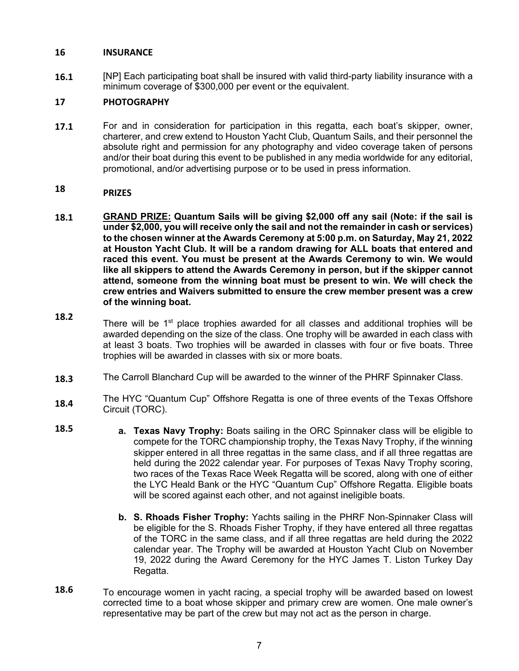### **16 INSURANCE**

**16.1** [NP] Each participating boat shall be insured with valid third-party liability insurance with a minimum coverage of \$300,000 per event or the equivalent.

#### **17 PHOTOGRAPHY**

**17.1** For and in consideration for participation in this regatta, each boat's skipper, owner, charterer, and crew extend to Houston Yacht Club, Quantum Sails, and their personnel the absolute right and permission for any photography and video coverage taken of persons and/or their boat during this event to be published in any media worldwide for any editorial, promotional, and/or advertising purpose or to be used in press information.

#### **18 PRIZES**

- **18.1 GRAND PRIZE: Quantum Sails will be giving \$2,000 off any sail (Note: if the sail is under \$2,000, you will receive only the sail and not the remainder in cash or services) to the chosen winner at the Awards Ceremony at 5:00 p.m. on Saturday, May 21, 2022 at Houston Yacht Club. It will be a random drawing for ALL boats that entered and raced this event. You must be present at the Awards Ceremony to win. We would like all skippers to attend the Awards Ceremony in person, but if the skipper cannot attend, someone from the winning boat must be present to win. We will check the crew entries and Waivers submitted to ensure the crew member present was a crew of the winning boat.**
- **18.2** There will be  $1<sup>st</sup>$  place trophies awarded for all classes and additional trophies will be awarded depending on the size of the class. One trophy will be awarded in each class with at least 3 boats. Two trophies will be awarded in classes with four or five boats. Three trophies will be awarded in classes with six or more boats.
- **18.3** The Carroll Blanchard Cup will be awarded to the winner of the PHRF Spinnaker Class.
- **18.4** The HYC "Quantum Cup" Offshore Regatta is one of three events of the Texas Offshore Circuit (TORC).
- **18.5 a. Texas Navy Trophy:** Boats sailing in the ORC Spinnaker class will be eligible to compete for the TORC championship trophy, the Texas Navy Trophy, if the winning skipper entered in all three regattas in the same class, and if all three regattas are held during the 2022 calendar year. For purposes of Texas Navy Trophy scoring, two races of the Texas Race Week Regatta will be scored, along with one of either the LYC Heald Bank or the HYC "Quantum Cup" Offshore Regatta. Eligible boats will be scored against each other, and not against ineligible boats.
	- **b. S. Rhoads Fisher Trophy:** Yachts sailing in the PHRF Non-Spinnaker Class will be eligible for the S. Rhoads Fisher Trophy, if they have entered all three regattas of the TORC in the same class, and if all three regattas are held during the 2022 calendar year. The Trophy will be awarded at Houston Yacht Club on November 19, 2022 during the Award Ceremony for the HYC James T. Liston Turkey Day Regatta.
- **18.6** To encourage women in yacht racing, a special trophy will be awarded based on lowest corrected time to a boat whose skipper and primary crew are women. One male owner's representative may be part of the crew but may not act as the person in charge.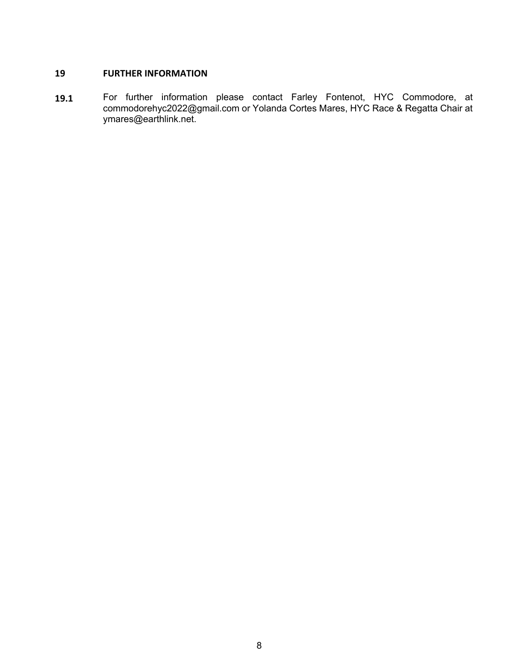### **19 FURTHER INFORMATION**

**19.1** For further information please contact Farley Fontenot, HYC Commodore, at commodorehyc2022@gmail.com or Yolanda Cortes Mares, HYC Race & Regatta Chair at ymares@earthlink.net.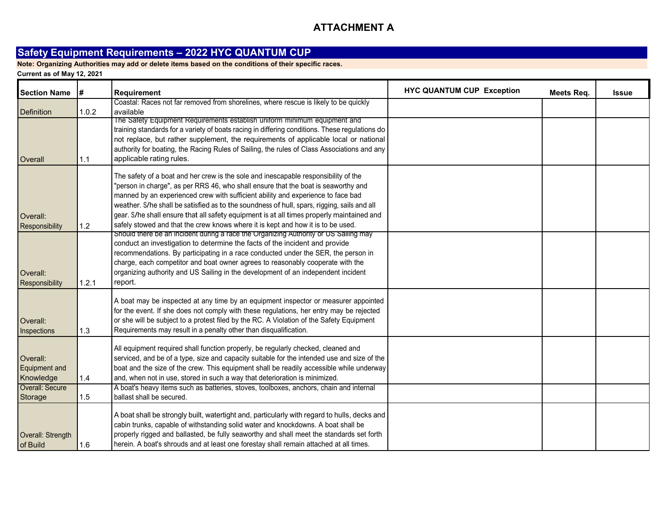### **ATTACHMENT A**

### **Safety Equipment Requirements – 2022 HYC QUANTUM CUP**

**Note: Organizing Authorities may add or delete items based on the conditions of their specific races.**

| <b>Section Name</b>                    | #     | <b>Requirement</b>                                                                                                                                                                                                                                                                                                                                                                                                                                                                                                                            | <b>HYC QUANTUM CUP Exception</b> | Meets Req. | Issue |
|----------------------------------------|-------|-----------------------------------------------------------------------------------------------------------------------------------------------------------------------------------------------------------------------------------------------------------------------------------------------------------------------------------------------------------------------------------------------------------------------------------------------------------------------------------------------------------------------------------------------|----------------------------------|------------|-------|
| <b>Definition</b>                      | 1.0.2 | Coastal: Races not far removed from shorelines, where rescue is likely to be quickly<br>available                                                                                                                                                                                                                                                                                                                                                                                                                                             |                                  |            |       |
| Overall                                | 1.1   | The Safety Equipment Requirements establish uniform minimum equipment and<br>training standards for a variety of boats racing in differing conditions. These regulations do<br>not replace, but rather supplement, the requirements of applicable local or national<br>authority for boating, the Racing Rules of Sailing, the rules of Class Associations and any<br>applicable rating rules.                                                                                                                                                |                                  |            |       |
| Overall:<br>Responsibility             | 1.2   | The safety of a boat and her crew is the sole and inescapable responsibility of the<br>"person in charge", as per RRS 46, who shall ensure that the boat is seaworthy and<br>manned by an experienced crew with sufficient ability and experience to face bad<br>weather. S/he shall be satisfied as to the soundness of hull, spars, rigging, sails and all<br>gear. S/he shall ensure that all safety equipment is at all times properly maintained and<br>safely stowed and that the crew knows where it is kept and how it is to be used. |                                  |            |       |
| Overall:<br>Responsibility             | 1.2.1 | Should there be an incident during a race the Organizing Authority or US Salling may<br>conduct an investigation to determine the facts of the incident and provide<br>recommendations. By participating in a race conducted under the SER, the person in<br>charge, each competitor and boat owner agrees to reasonably cooperate with the<br>organizing authority and US Sailing in the development of an independent incident<br>report.                                                                                                   |                                  |            |       |
| Overall:<br>Inspections                | 1.3   | A boat may be inspected at any time by an equipment inspector or measurer appointed<br>for the event. If she does not comply with these regulations, her entry may be rejected<br>or she will be subject to a protest filed by the RC. A Violation of the Safety Equipment<br>Requirements may result in a penalty other than disqualification.                                                                                                                                                                                               |                                  |            |       |
| Overall:<br>Equipment and<br>Knowledge | 1.4   | All equipment required shall function properly, be regularly checked, cleaned and<br>serviced, and be of a type, size and capacity suitable for the intended use and size of the<br>boat and the size of the crew. This equipment shall be readily accessible while underway<br>and, when not in use, stored in such a way that deterioration is minimized.                                                                                                                                                                                   |                                  |            |       |
| Overall: Secure<br>Storage             | 1.5   | A boat's heavy items such as batteries, stoves, toolboxes, anchors, chain and internal<br>ballast shall be secured.                                                                                                                                                                                                                                                                                                                                                                                                                           |                                  |            |       |
| Overall: Strength<br>of Build          | 1.6   | A boat shall be strongly built, watertight and, particularly with regard to hulls, decks and<br>cabin trunks, capable of withstanding solid water and knockdowns. A boat shall be<br>properly rigged and ballasted, be fully seaworthy and shall meet the standards set forth<br>herein. A boat's shrouds and at least one forestay shall remain attached at all times.                                                                                                                                                                       |                                  |            |       |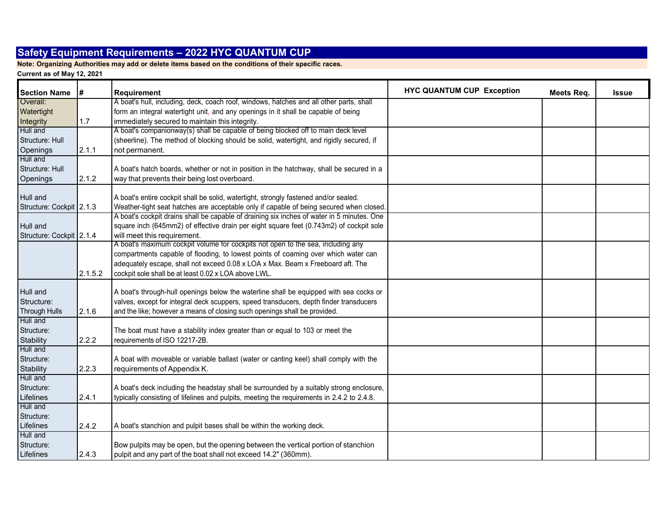**Note: Organizing Authorities may add or delete items based on the conditions of their specific races.**

| <b>Section Name</b>      | #       | <b>Requirement</b>                                                                         | <b>HYC QUANTUM CUP Exception</b> | Meets Req. | Issue |
|--------------------------|---------|--------------------------------------------------------------------------------------------|----------------------------------|------------|-------|
| Overall:                 |         | A boat's hull, including, deck, coach roof, windows, hatches and all other parts, shall    |                                  |            |       |
| Watertight               |         | form an integral watertight unit, and any openings in it shall be capable of being         |                                  |            |       |
| Integrity                | 1.7     | immediately secured to maintain this integrity.                                            |                                  |            |       |
| Hull and                 |         | A boat's companionway(s) shall be capable of being blocked off to main deck level          |                                  |            |       |
| Structure: Hull          |         | (sheerline). The method of blocking should be solid, watertight, and rigidly secured, if   |                                  |            |       |
| Openings                 | 2.1.1   | not permanent.                                                                             |                                  |            |       |
| Hull and                 |         |                                                                                            |                                  |            |       |
| Structure: Hull          |         | A boat's hatch boards, whether or not in position in the hatchway, shall be secured in a   |                                  |            |       |
| Openings                 | 2.1.2   | way that prevents their being lost overboard.                                              |                                  |            |       |
| Hull and                 |         | A boat's entire cockpit shall be solid, watertight, strongly fastened and/or sealed.       |                                  |            |       |
| Structure: Cockpit 2.1.3 |         | Weather-tight seat hatches are acceptable only if capable of being secured when closed.    |                                  |            |       |
|                          |         | A boat's cockpit drains shall be capable of draining six inches of water in 5 minutes. One |                                  |            |       |
| Hull and                 |         | square inch (645mm2) of effective drain per eight square feet (0.743m2) of cockpit sole    |                                  |            |       |
| Structure: Cockpit 2.1.4 |         | will meet this requirement.                                                                |                                  |            |       |
|                          |         | A boat's maximum cockpit volume for cockpits not open to the sea, including any            |                                  |            |       |
|                          |         | compartments capable of flooding, to lowest points of coaming over which water can         |                                  |            |       |
|                          |         | adequately escape, shall not exceed 0.08 x LOA x Max. Beam x Freeboard aft. The            |                                  |            |       |
|                          | 2.1.5.2 | cockpit sole shall be at least 0.02 x LOA above LWL.                                       |                                  |            |       |
| Hull and                 |         | A boat's through-hull openings below the waterline shall be equipped with sea cocks or     |                                  |            |       |
| Structure:               |         | valves, except for integral deck scuppers, speed transducers, depth finder transducers     |                                  |            |       |
| <b>Through Hulls</b>     | 2.1.6   | and the like; however a means of closing such openings shall be provided.                  |                                  |            |       |
| Hull and                 |         |                                                                                            |                                  |            |       |
| Structure:               |         | The boat must have a stability index greater than or equal to 103 or meet the              |                                  |            |       |
| Stability                | 2.2.2   | requirements of ISO 12217-2B.                                                              |                                  |            |       |
| Hull and                 |         |                                                                                            |                                  |            |       |
| Structure:               |         | A boat with moveable or variable ballast (water or canting keel) shall comply with the     |                                  |            |       |
| Stability                | 2.2.3   | requirements of Appendix K.                                                                |                                  |            |       |
| Hull and                 |         |                                                                                            |                                  |            |       |
| Structure:               |         | A boat's deck including the headstay shall be surrounded by a suitably strong enclosure,   |                                  |            |       |
| Lifelines                | 2.4.1   | typically consisting of lifelines and pulpits, meeting the requirements in 2.4.2 to 2.4.8. |                                  |            |       |
| Hull and                 |         |                                                                                            |                                  |            |       |
| Structure:               |         |                                                                                            |                                  |            |       |
| Lifelines                | 2.4.2   | A boat's stanchion and pulpit bases shall be within the working deck.                      |                                  |            |       |
| Hull and                 |         |                                                                                            |                                  |            |       |
| Structure:               |         | Bow pulpits may be open, but the opening between the vertical portion of stanchion         |                                  |            |       |
| Lifelines                | 2.4.3   | pulpit and any part of the boat shall not exceed 14.2" (360mm).                            |                                  |            |       |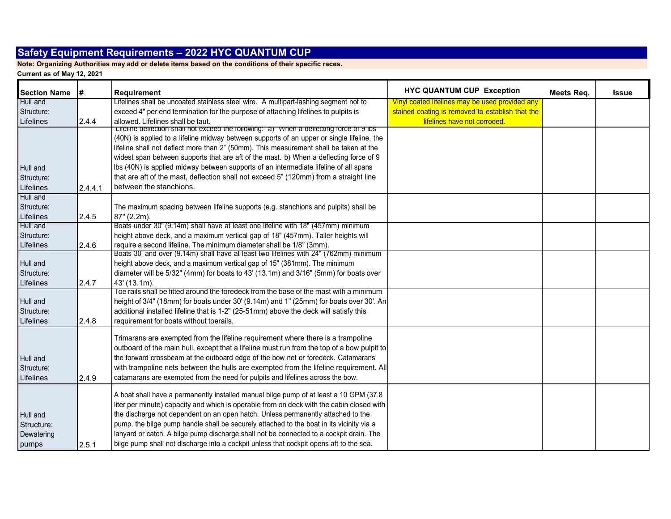**Note: Organizing Authorities may add or delete items based on the conditions of their specific races.**

| <b>Section Name</b>                           | #       | Requirement                                                                                                                                                                                                                                                                                                                                                                                                                                                                                                                                              | <b>HYC QUANTUM CUP Exception</b>                 | Meets Req. | <b>Issue</b> |
|-----------------------------------------------|---------|----------------------------------------------------------------------------------------------------------------------------------------------------------------------------------------------------------------------------------------------------------------------------------------------------------------------------------------------------------------------------------------------------------------------------------------------------------------------------------------------------------------------------------------------------------|--------------------------------------------------|------------|--------------|
| Hull and                                      |         | Lifelines shall be uncoated stainless steel wire. A multipart-lashing segment not to                                                                                                                                                                                                                                                                                                                                                                                                                                                                     | Vinyl coated lifelines may be used provided any  |            |              |
| Structure:                                    |         | exceed 4" per end termination for the purpose of attaching lifelines to pulpits is                                                                                                                                                                                                                                                                                                                                                                                                                                                                       | stained coating is removed to establish that the |            |              |
| Lifelines                                     | 2.4.4   | allowed. Lifelines shall be taut.                                                                                                                                                                                                                                                                                                                                                                                                                                                                                                                        | lifelines have not corroded.                     |            |              |
|                                               |         | Lifeline deflection shall not exceed the following: a) when a deflecting force of 9 lbs<br>(40N) is applied to a lifeline midway between supports of an upper or single lifeline, the                                                                                                                                                                                                                                                                                                                                                                    |                                                  |            |              |
|                                               |         |                                                                                                                                                                                                                                                                                                                                                                                                                                                                                                                                                          |                                                  |            |              |
|                                               |         | lifeline shall not deflect more than 2" (50mm). This measurement shall be taken at the<br>widest span between supports that are aft of the mast. b) When a deflecting force of 9                                                                                                                                                                                                                                                                                                                                                                         |                                                  |            |              |
|                                               |         | Ibs (40N) is applied midway between supports of an intermediate lifeline of all spans                                                                                                                                                                                                                                                                                                                                                                                                                                                                    |                                                  |            |              |
| Hull and                                      |         | that are aft of the mast, deflection shall not exceed 5" (120mm) from a straight line                                                                                                                                                                                                                                                                                                                                                                                                                                                                    |                                                  |            |              |
| Structure:                                    |         | between the stanchions.                                                                                                                                                                                                                                                                                                                                                                                                                                                                                                                                  |                                                  |            |              |
| Lifelines<br>Hull and                         | 2.4.4.1 |                                                                                                                                                                                                                                                                                                                                                                                                                                                                                                                                                          |                                                  |            |              |
| Structure:                                    |         |                                                                                                                                                                                                                                                                                                                                                                                                                                                                                                                                                          |                                                  |            |              |
| Lifelines                                     | 2.4.5   | The maximum spacing between lifeline supports (e.g. stanchions and pulpits) shall be                                                                                                                                                                                                                                                                                                                                                                                                                                                                     |                                                  |            |              |
| Hull and                                      |         | 87" (2.2m).<br>Boats under 30' (9.14m) shall have at least one lifeline with 18" (457mm) minimum                                                                                                                                                                                                                                                                                                                                                                                                                                                         |                                                  |            |              |
| Structure:                                    |         | height above deck, and a maximum vertical gap of 18" (457mm). Taller heights will                                                                                                                                                                                                                                                                                                                                                                                                                                                                        |                                                  |            |              |
| Lifelines                                     | 2.4.6   | require a second lifeline. The minimum diameter shall be 1/8" (3mm).                                                                                                                                                                                                                                                                                                                                                                                                                                                                                     |                                                  |            |              |
|                                               |         | Boats 30' and over (9.14m) shall have at least two lifelines with 24" (762mm) minimum                                                                                                                                                                                                                                                                                                                                                                                                                                                                    |                                                  |            |              |
| Hull and                                      |         | height above deck, and a maximum vertical gap of 15" (381mm). The minimum                                                                                                                                                                                                                                                                                                                                                                                                                                                                                |                                                  |            |              |
| Structure:                                    |         | diameter will be 5/32" (4mm) for boats to 43' (13.1m) and 3/16" (5mm) for boats over                                                                                                                                                                                                                                                                                                                                                                                                                                                                     |                                                  |            |              |
| Lifelines                                     | 2.4.7   | 43' (13.1m).                                                                                                                                                                                                                                                                                                                                                                                                                                                                                                                                             |                                                  |            |              |
|                                               |         | Toe rails shall be fitted around the foredeck from the base of the mast with a minimum                                                                                                                                                                                                                                                                                                                                                                                                                                                                   |                                                  |            |              |
| Hull and                                      |         | height of 3/4" (18mm) for boats under 30' (9.14m) and 1" (25mm) for boats over 30'. An                                                                                                                                                                                                                                                                                                                                                                                                                                                                   |                                                  |            |              |
| Structure:                                    |         | additional installed lifeline that is 1-2" (25-51mm) above the deck will satisfy this                                                                                                                                                                                                                                                                                                                                                                                                                                                                    |                                                  |            |              |
| Lifelines                                     | 2.4.8   | requirement for boats without toerails.                                                                                                                                                                                                                                                                                                                                                                                                                                                                                                                  |                                                  |            |              |
| Hull and<br>Structure:<br>Lifelines           | 2.4.9   | Trimarans are exempted from the lifeline requirement where there is a trampoline<br>outboard of the main hull, except that a lifeline must run from the top of a bow pulpit to<br>the forward crossbeam at the outboard edge of the bow net or foredeck. Catamarans<br>with trampoline nets between the hulls are exempted from the lifeline requirement. All<br>catamarans are exempted from the need for pulpits and lifelines across the bow.                                                                                                         |                                                  |            |              |
| Hull and<br>Structure:<br>Dewatering<br>pumps | 2.5.1   | A boat shall have a permanently installed manual bilge pump of at least a 10 GPM (37.8<br>liter per minute) capacity and which is operable from on deck with the cabin closed with<br>the discharge not dependent on an open hatch. Unless permanently attached to the<br>pump, the bilge pump handle shall be securely attached to the boat in its vicinity via a<br>lanyard or catch. A bilge pump discharge shall not be connected to a cockpit drain. The<br>bilge pump shall not discharge into a cockpit unless that cockpit opens aft to the sea. |                                                  |            |              |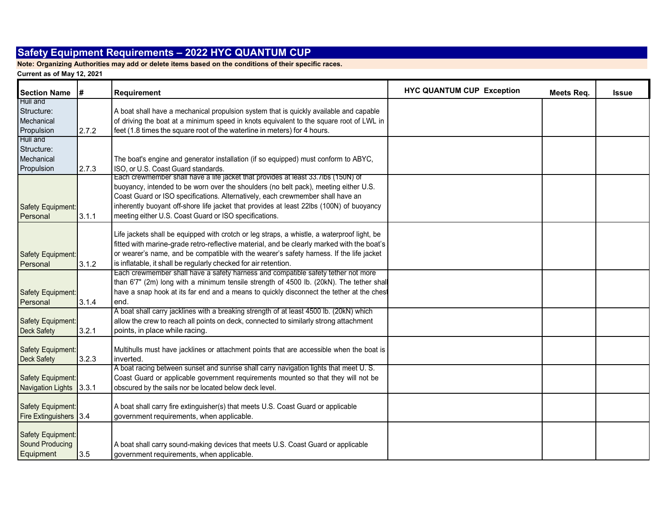**Note: Organizing Authorities may add or delete items based on the conditions of their specific races.**

| <b>Section Name</b>     | #     | <b>Requirement</b>                                                                          | <b>HYC QUANTUM CUP Exception</b> | Meets Req. | <b>Issue</b> |
|-------------------------|-------|---------------------------------------------------------------------------------------------|----------------------------------|------------|--------------|
| Hull and                |       |                                                                                             |                                  |            |              |
| Structure:              |       | A boat shall have a mechanical propulsion system that is quickly available and capable      |                                  |            |              |
| Mechanical              |       | of driving the boat at a minimum speed in knots equivalent to the square root of LWL in     |                                  |            |              |
| Propulsion              | 2.7.2 | feet (1.8 times the square root of the waterline in meters) for 4 hours.                    |                                  |            |              |
| Hull and                |       |                                                                                             |                                  |            |              |
| Structure:              |       |                                                                                             |                                  |            |              |
| Mechanical              |       | The boat's engine and generator installation (if so equipped) must conform to ABYC,         |                                  |            |              |
| Propulsion              | 2.7.3 | ISO, or U.S. Coast Guard standards.                                                         |                                  |            |              |
|                         |       | Each crewmember shall have a life jacket that provides at least 33.7lbs (150N) of           |                                  |            |              |
|                         |       | buoyancy, intended to be worn over the shoulders (no belt pack), meeting either U.S.        |                                  |            |              |
|                         |       | Coast Guard or ISO specifications. Alternatively, each crewmember shall have an             |                                  |            |              |
| Safety Equipment:       |       | inherently buoyant off-shore life jacket that provides at least 22lbs (100N) of buoyancy    |                                  |            |              |
| Personal                | 3.1.1 | meeting either U.S. Coast Guard or ISO specifications.                                      |                                  |            |              |
|                         |       | Life jackets shall be equipped with crotch or leg straps, a whistle, a waterproof light, be |                                  |            |              |
|                         |       | fitted with marine-grade retro-reflective material, and be clearly marked with the boat's   |                                  |            |              |
|                         |       | or wearer's name, and be compatible with the wearer's safety harness. If the life jacket    |                                  |            |              |
| Safety Equipment:       |       | is inflatable, it shall be regularly checked for air retention.                             |                                  |            |              |
| Personal                | 3.1.2 | Each crewmember shall have a safety harness and compatible safety tether not more           |                                  |            |              |
|                         |       | than 6'7" (2m) long with a minimum tensile strength of 4500 lb. (20kN). The tether shall    |                                  |            |              |
| Safety Equipment:       |       | have a snap hook at its far end and a means to quickly disconnect the tether at the chest   |                                  |            |              |
| Personal                | 3.1.4 | end.                                                                                        |                                  |            |              |
|                         |       | A boat shall carry jacklines with a breaking strength of at least 4500 lb. (20kN) which     |                                  |            |              |
| Safety Equipment:       |       | allow the crew to reach all points on deck, connected to similarly strong attachment        |                                  |            |              |
| <b>Deck Safety</b>      | 3.2.1 | points, in place while racing.                                                              |                                  |            |              |
|                         |       |                                                                                             |                                  |            |              |
| Safety Equipment:       |       | Multihulls must have jacklines or attachment points that are accessible when the boat is    |                                  |            |              |
| <b>Deck Safety</b>      | 3.2.3 | inverted.                                                                                   |                                  |            |              |
|                         |       | A boat racing between sunset and sunrise shall carry navigation lights that meet U. S.      |                                  |            |              |
| Safety Equipment:       |       | Coast Guard or applicable government requirements mounted so that they will not be          |                                  |            |              |
| Navigation Lights 3.3.1 |       | obscured by the sails nor be located below deck level.                                      |                                  |            |              |
|                         |       |                                                                                             |                                  |            |              |
| Safety Equipment:       |       | A boat shall carry fire extinguisher(s) that meets U.S. Coast Guard or applicable           |                                  |            |              |
| Fire Extinguishers 3.4  |       | government requirements, when applicable.                                                   |                                  |            |              |
|                         |       |                                                                                             |                                  |            |              |
| Safety Equipment:       |       |                                                                                             |                                  |            |              |
| Sound Producing         |       | A boat shall carry sound-making devices that meets U.S. Coast Guard or applicable           |                                  |            |              |
| Equipment               | 3.5   | government requirements, when applicable.                                                   |                                  |            |              |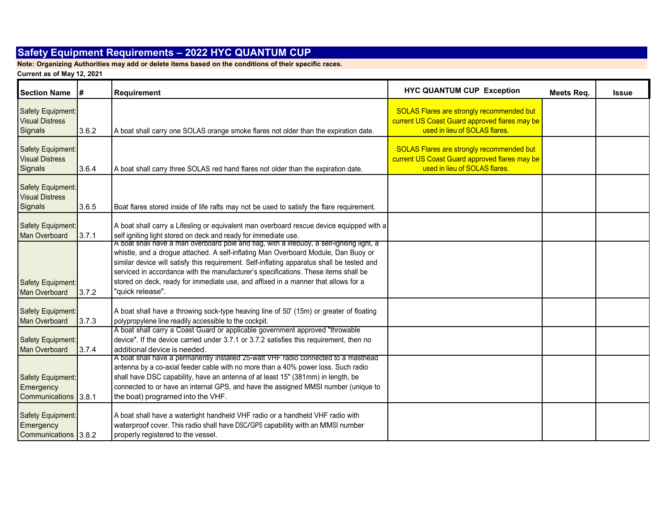**Note: Organizing Authorities may add or delete items based on the conditions of their specific races.**

| <b>Section Name</b>                                    | l#    | Requirement                                                                                                                                                                                                                                                                                                                                                                                                                                                                     | <b>HYC QUANTUM CUP Exception</b>                                                                                                   | Meets Req. | <b>Issue</b> |
|--------------------------------------------------------|-------|---------------------------------------------------------------------------------------------------------------------------------------------------------------------------------------------------------------------------------------------------------------------------------------------------------------------------------------------------------------------------------------------------------------------------------------------------------------------------------|------------------------------------------------------------------------------------------------------------------------------------|------------|--------------|
| Safety Equipment:<br><b>Visual Distress</b><br>Signals | 3.6.2 | A boat shall carry one SOLAS orange smoke flares not older than the expiration date.                                                                                                                                                                                                                                                                                                                                                                                            | <b>SOLAS Flares are strongly recommended but</b><br>current US Coast Guard approved flares may be<br>used in lieu of SOLAS flares. |            |              |
| Safety Equipment:<br><b>Visual Distress</b><br>Signals | 3.6.4 | A boat shall carry three SOLAS red hand flares not older than the expiration date.                                                                                                                                                                                                                                                                                                                                                                                              | <b>SOLAS Flares are strongly recommended but</b><br>current US Coast Guard approved flares may be<br>used in lieu of SOLAS flares. |            |              |
| Safety Equipment:<br><b>Visual Distress</b><br>Signals | 3.6.5 | Boat flares stored inside of life rafts may not be used to satisfy the flare requirement.                                                                                                                                                                                                                                                                                                                                                                                       |                                                                                                                                    |            |              |
| Safety Equipment:<br><b>Man Overboard</b>              | 3.7.1 | A boat shall carry a Lifesling or equivalent man overboard rescue device equipped with a<br>self igniting light stored on deck and ready for immediate use.                                                                                                                                                                                                                                                                                                                     |                                                                                                                                    |            |              |
| Safety Equipment:<br><b>Man Overboard</b>              | 3.7.2 | A boat snall nave a man overboard pole and flag, with a lifebuoy, a self-ighiting light, a<br>whistle, and a drogue attached. A self-inflating Man Overboard Module, Dan Buoy or<br>similar device will satisfy this requirement. Self-inflating apparatus shall be tested and<br>serviced in accordance with the manufacturer's specifications. These items shall be<br>stored on deck, ready for immediate use, and affixed in a manner that allows for a<br>"quick release". |                                                                                                                                    |            |              |
| Safety Equipment:<br>Man Overboard                     | 3.7.3 | A boat shall have a throwing sock-type heaving line of 50' (15m) or greater of floating<br>polypropylene line readily accessible to the cockpit.                                                                                                                                                                                                                                                                                                                                |                                                                                                                                    |            |              |
| Safety Equipment:<br><b>Man Overboard</b>              | 3.7.4 | A boat shall carry a Coast Guard or applicable government approved "throwable<br>device". If the device carried under 3.7.1 or 3.7.2 satisfies this requirement, then no<br>additional device is needed.                                                                                                                                                                                                                                                                        |                                                                                                                                    |            |              |
| Safety Equipment:<br>Emergency<br>Communications 3.8.1 |       | A boat shall have a permanently installed 25-watt VHF radio connected to a masthead<br>antenna by a co-axial feeder cable with no more than a 40% power loss. Such radio<br>shall have DSC capability, have an antenna of at least 15" (381mm) in length, be<br>connected to or have an internal GPS, and have the assigned MMSI number (unique to<br>the boat) programed into the VHF.                                                                                         |                                                                                                                                    |            |              |
| Safety Equipment:<br>Emergency<br>Communications 3.8.2 |       | A boat shall have a watertight handheld VHF radio or a handheld VHF radio with<br>waterproof cover. This radio shall have DSC/GPS capability with an MMSI number<br>properly registered to the vessel.                                                                                                                                                                                                                                                                          |                                                                                                                                    |            |              |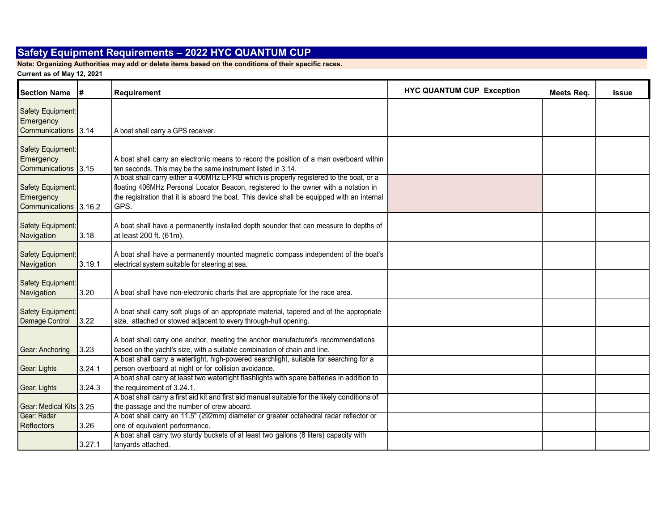**Note: Organizing Authorities may add or delete items based on the conditions of their specific races.**

| <b>Section Name</b>                                     | l#     | <b>Requirement</b>                                                                                                                                                                                                                                                                    | <b>HYC QUANTUM CUP Exception</b> | Meets Reg. | <b>Issue</b> |
|---------------------------------------------------------|--------|---------------------------------------------------------------------------------------------------------------------------------------------------------------------------------------------------------------------------------------------------------------------------------------|----------------------------------|------------|--------------|
| Safety Equipment:<br>Emergency                          |        |                                                                                                                                                                                                                                                                                       |                                  |            |              |
| Communications 3.14                                     |        | A boat shall carry a GPS receiver.                                                                                                                                                                                                                                                    |                                  |            |              |
| Safety Equipment:<br>Emergency<br>Communications 3.15   |        | A boat shall carry an electronic means to record the position of a man overboard within<br>ten seconds. This may be the same instrument listed in 3.14.                                                                                                                               |                                  |            |              |
| Safety Equipment:<br>Emergency<br>Communications 3.16.2 |        | A boat shall carry either a 406MHz EPIRB which is properly registered to the boat, or a<br>floating 406MHz Personal Locator Beacon, registered to the owner with a notation in<br>the registration that it is aboard the boat. This device shall be equipped with an internal<br>GPS. |                                  |            |              |
| Safety Equipment:<br>Navigation                         | 3.18   | A boat shall have a permanently installed depth sounder that can measure to depths of<br>at least 200 ft. (61m).                                                                                                                                                                      |                                  |            |              |
| Safety Equipment:<br>Navigation                         | 3.19.1 | A boat shall have a permanently mounted magnetic compass independent of the boat's<br>electrical system suitable for steering at sea.                                                                                                                                                 |                                  |            |              |
| Safety Equipment:<br>Navigation                         | 3.20   | A boat shall have non-electronic charts that are appropriate for the race area.                                                                                                                                                                                                       |                                  |            |              |
| Safety Equipment:<br>Damage Control                     | 3.22   | A boat shall carry soft plugs of an appropriate material, tapered and of the appropriate<br>size, attached or stowed adjacent to every through-hull opening.                                                                                                                          |                                  |            |              |
| Gear: Anchoring                                         | 3.23   | A boat shall carry one anchor, meeting the anchor manufacturer's recommendations<br>based on the yacht's size, with a suitable combination of chain and line.                                                                                                                         |                                  |            |              |
| Gear: Lights                                            | 3.24.1 | A boat shall carry a watertight, high-powered searchlight, suitable for searching for a<br>person overboard at night or for collision avoidance.                                                                                                                                      |                                  |            |              |
| Gear: Lights                                            | 3.24.3 | A boat shall carry at least two watertight flashlights with spare batteries in addition to<br>the requirement of 3.24.1.                                                                                                                                                              |                                  |            |              |
| Gear: Medical Kits 3.25                                 |        | A boat shall carry a first aid kit and first aid manual suitable for the likely conditions of<br>the passage and the number of crew aboard.                                                                                                                                           |                                  |            |              |
| Gear: Radar<br><b>Reflectors</b>                        | 3.26   | A boat shall carry an 11.5" (292mm) diameter or greater octahedral radar reflector or<br>one of equivalent performance.                                                                                                                                                               |                                  |            |              |
|                                                         | 3.27.1 | A boat shall carry two sturdy buckets of at least two gallons (8 liters) capacity with<br>lanyards attached.                                                                                                                                                                          |                                  |            |              |